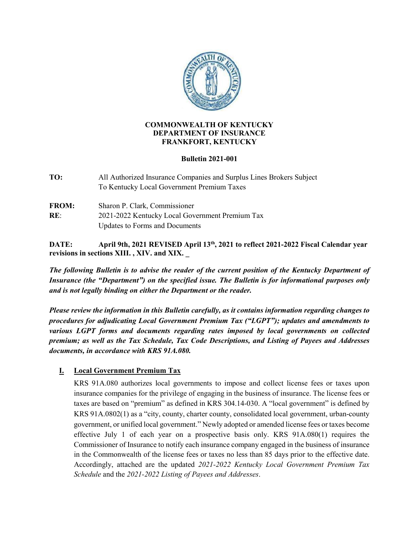

#### **COMMONWEALTH OF KENTUCKY DEPARTMENT OF INSURANCE FRANKFORT, KENTUCKY**

### **Bulletin 2021-001**

- **TO:** All Authorized Insurance Companies and Surplus Lines Brokers Subject To Kentucky Local Government Premium Taxes
- **FROM:** Sharon P. Clark, Commissioner **RE**: 2021-2022 Kentucky Local Government Premium Tax Updates to Forms and Documents

**DATE: April 9th, 2021 REVISED April 13th, 2021 to reflect 2021-2022 Fiscal Calendar year revisions in sections XIII. , XIV. and XIX. \_**

*The following Bulletin is to advise the reader of the current position of the Kentucky Department of Insurance (the "Department") on the specified issue. The Bulletin is for informational purposes only and is not legally binding on either the Department or the reader.*

*Please review the information in this Bulletin carefully, as it contains information regarding changes to procedures for adjudicating Local Government Premium Tax ("LGPT"); updates and amendments to various LGPT forms and documents regarding rates imposed by local governments on collected premium; as well as the Tax Schedule, Tax Code Descriptions, and Listing of Payees and Addresses documents, in accordance with KRS 91A.080.*

# **I. Local Government Premium Tax**

KRS 91A.080 authorizes local governments to impose and collect license fees or taxes upon insurance companies for the privilege of engaging in the business of insurance. The license fees or taxes are based on "premium" as defined in KRS 304.14-030. A "local government" is defined by KRS 91A.0802(1) as a "city, county, charter county, consolidated local government, urban-county government, or unified local government." Newly adopted or amended license fees or taxes become effective July 1 of each year on a prospective basis only. KRS 91A.080(1) requires the Commissioner of Insurance to notify each insurance company engaged in the business of insurance in the Commonwealth of the license fees or taxes no less than 85 days prior to the effective date. Accordingly, attached are the updated *2021-2022 Kentucky Local Government Premium Tax Schedule* and the *2021-2022 Listing of Payees and Addresses*.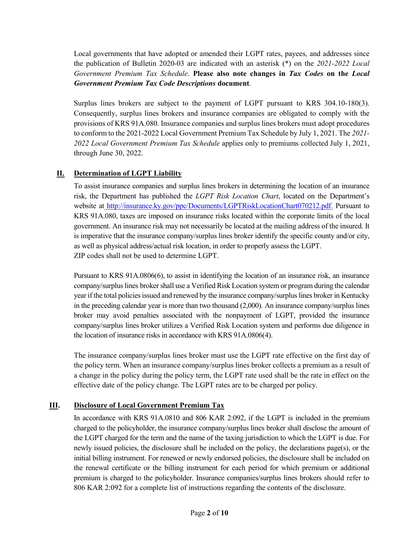Local governments that have adopted or amended their LGPT rates, payees, and addresses since the publication of Bulletin 2020-03 are indicated with an asterisk (\*) on the *2021-2022 Local Government Premium Tax Schedule*. **Please also note changes in** *Tax Codes* **on the** *Local Government Premium Tax Code Descriptions* **document***.*

Surplus lines brokers are subject to the payment of LGPT pursuant to KRS 304.10-180(3). Consequently, surplus lines brokers and insurance companies are obligated to comply with the provisions of KRS 91A.080. Insurance companies and surplus lines brokers must adopt procedures to conform to the 2021-2022 Local Government Premium Tax Schedule by July 1, 2021. The *2021- 2022 Local Government Premium Tax Schedule* applies only to premiums collected July 1, 2021, through June 30, 2022.

# **II. Determination of LGPT Liability**

To assist insurance companies and surplus lines brokers in determining the location of an insurance risk, the Department has published the *LGPT Risk Location Chart*, located on the Department's website at [http://insurance.ky.gov/ppc/Documents/LGPTRiskLocationChart070212.pdf.](http://insurance.ky.gov/ppc/Documents/LGPTRiskLocationChart070212.pdf) Pursuant to KRS 91A.080, taxes are imposed on insurance risks located within the corporate limits of the local government. An insurance risk may not necessarily be located at the mailing address of the insured. It is imperative that the insurance company/surplus lines broker identify the specific county and/or city, as well as physical address/actual risk location, in order to properly assess the LGPT. ZIP codes shall not be used to determine LGPT.

Pursuant to KRS 91A.0806(6), to assist in identifying the location of an insurance risk, an insurance company/surplus lines broker shall use a Verified Risk Location system or program during the calendar year if the total policies issued and renewed by the insurance company/surplus lines broker in Kentucky in the preceding calendar year is more than two thousand (2,000). An insurance company/surplus lines broker may avoid penalties associated with the nonpayment of LGPT, provided the insurance company/surplus lines broker utilizes a Verified Risk Location system and performs due diligence in the location of insurance risks in accordance with KRS 91A.0806(4).

The insurance company/surplus lines broker must use the LGPT rate effective on the first day of the policy term. When an insurance company/surplus lines broker collects a premium as a result of a change in the policy during the policy term, the LGPT rate used shall be the rate in effect on the effective date of the policy change. The LGPT rates are to be charged per policy.

## **III. Disclosure of Local Government Premium Tax**

In accordance with KRS 91A.0810 and 806 KAR 2:092, if the LGPT is included in the premium charged to the policyholder, the insurance company/surplus lines broker shall disclose the amount of the LGPT charged for the term and the name of the taxing jurisdiction to which the LGPT is due. For newly issued policies, the disclosure shall be included on the policy, the declarations page(s), or the initial billing instrument. For renewed or newly endorsed policies, the disclosure shall be included on the renewal certificate or the billing instrument for each period for which premium or additional premium is charged to the policyholder. Insurance companies/surplus lines brokers should refer to 806 KAR 2:092 for a complete list of instructions regarding the contents of the disclosure.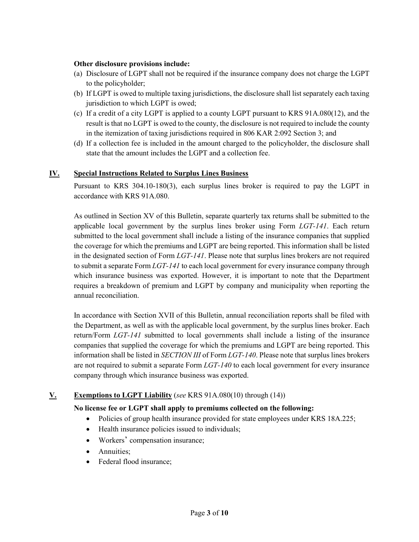### **Other disclosure provisions include:**

- (a) Disclosure of LGPT shall not be required if the insurance company does not charge the LGPT to the policyholder;
- (b) If LGPT is owed to multiple taxing jurisdictions, the disclosure shall list separately each taxing jurisdiction to which LGPT is owed;
- (c) If a credit of a city LGPT is applied to a county LGPT pursuant to KRS 91A.080(12), and the result is that no LGPT is owed to the county, the disclosure is not required to include the county in the itemization of taxing jurisdictions required in 806 KAR 2:092 Section 3; and
- (d) If a collection fee is included in the amount charged to the policyholder, the disclosure shall state that the amount includes the LGPT and a collection fee.

### **IV. Special Instructions Related to Surplus Lines Business**

Pursuant to KRS 304.10-180(3), each surplus lines broker is required to pay the LGPT in accordance with KRS 91A.080.

As outlined in Section XV of this Bulletin, separate quarterly tax returns shall be submitted to the applicable local government by the surplus lines broker using Form *LGT-141*. Each return submitted to the local government shall include a listing of the insurance companies that supplied the coverage for which the premiums and LGPT are being reported. This information shall be listed in the designated section of Form *LGT-141*. Please note that surplus lines brokers are not required to submit a separate Form *LGT-141* to each local government for every insurance company through which insurance business was exported. However, it is important to note that the Department requires a breakdown of premium and LGPT by company and municipality when reporting the annual reconciliation.

In accordance with Section XVII of this Bulletin, annual reconciliation reports shall be filed with the Department, as well as with the applicable local government, by the surplus lines broker. Each return/Form *LGT-141* submitted to local governments shall include a listing of the insurance companies that supplied the coverage for which the premiums and LGPT are being reported. This information shall be listed in *SECTION III* of Form *LGT-140*. Please note that surplus lines brokers are not required to submit a separate Form *LGT-140* to each local government for every insurance company through which insurance business was exported.

## **V. Exemptions to LGPT Liability** (*see* KRS 91A.080(10) through (14))

### **No license fee or LGPT shall apply to premiums collected on the following:**

- Policies of group health insurance provided for state employees under KRS 18A.225;
- Health insurance policies issued to individuals;
- Workers' compensation insurance;
- Annuities;
- Federal flood insurance;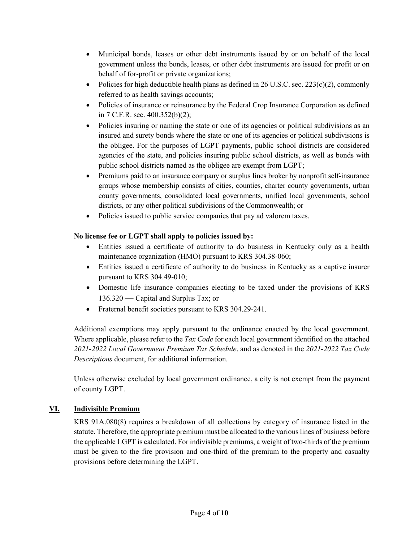- Municipal bonds, leases or other debt instruments issued by or on behalf of the local government unless the bonds, leases, or other debt instruments are issued for profit or on behalf of for-profit or private organizations;
- Policies for high deductible health plans as defined in 26 U.S.C. sec. 223(c)(2), commonly referred to as health savings accounts;
- Policies of insurance or reinsurance by the Federal Crop Insurance Corporation as defined in 7 C.F.R. sec. 400.352(b)(2);
- Policies insuring or naming the state or one of its agencies or political subdivisions as an insured and surety bonds where the state or one of its agencies or political subdivisions is the obligee. For the purposes of LGPT payments, public school districts are considered agencies of the state, and policies insuring public school districts, as well as bonds with public school districts named as the obligee are exempt from LGPT;
- Premiums paid to an insurance company or surplus lines broker by nonprofit self-insurance groups whose membership consists of cities, counties, charter county governments, urban county governments, consolidated local governments, unified local governments, school districts, or any other political subdivisions of the Commonwealth; or
- Policies issued to public service companies that pay ad valorem taxes.

# **No license fee or LGPT shall apply to policies issued by:**

- Entities issued a certificate of authority to do business in Kentucky only as a health maintenance organization (HMO) pursuant to KRS 304.38-060;
- Entities issued a certificate of authority to do business in Kentucky as a captive insurer pursuant to KRS 304.49-010;
- Domestic life insurance companies electing to be taxed under the provisions of KRS 136.320 — Capital and Surplus Tax; or
- Fraternal benefit societies pursuant to KRS 304.29-241.

Additional exemptions may apply pursuant to the ordinance enacted by the local government. Where applicable, please refer to the *Tax Code* for each local government identified on the attached *2021-2022 Local Government Premium Tax Schedule*, and as denoted in the *2021-2022 Tax Code Descriptions* document, for additional information.

Unless otherwise excluded by local government ordinance, a city is not exempt from the payment of county LGPT.

# **VI. Indivisible Premium**

KRS 91A.080(8) requires a breakdown of all collections by category of insurance listed in the statute. Therefore, the appropriate premium must be allocated to the various lines of business before the applicable LGPT is calculated. For indivisible premiums, a weight of two-thirds of the premium must be given to the fire provision and one-third of the premium to the property and casualty provisions before determining the LGPT.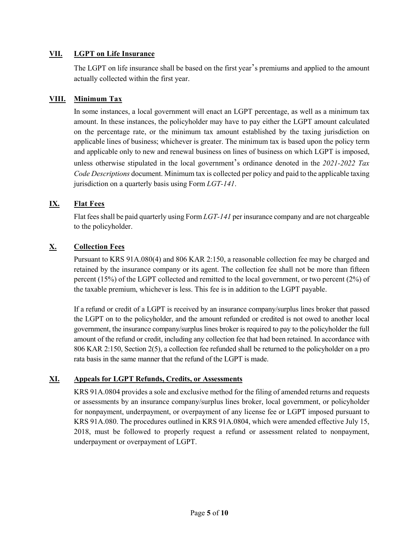### **VII. LGPT on Life Insurance**

The LGPT on life insurance shall be based on the first year's premiums and applied to the amount actually collected within the first year.

### **VIII. Minimum Tax**

In some instances, a local government will enact an LGPT percentage, as well as a minimum tax amount. In these instances, the policyholder may have to pay either the LGPT amount calculated on the percentage rate, or the minimum tax amount established by the taxing jurisdiction on applicable lines of business; whichever is greater. The minimum tax is based upon the policy term and applicable only to new and renewal business on lines of business on which LGPT is imposed, unless otherwise stipulated in the local government's ordinance denoted in the *2021-2022 Tax Code Descriptions* document. Minimum tax is collected per policy and paid to the applicable taxing jurisdiction on a quarterly basis using Form *LGT-141*.

## **IX. Flat Fees**

Flat fees shall be paid quarterly using Form *LGT-141* per insurance company and are not chargeable to the policyholder.

# **X. Collection Fees**

Pursuant to KRS 91A.080(4) and 806 KAR 2:150, a reasonable collection fee may be charged and retained by the insurance company or its agent. The collection fee shall not be more than fifteen percent (15%) of the LGPT collected and remitted to the local government, or two percent (2%) of the taxable premium, whichever is less. This fee is in addition to the LGPT payable.

If a refund or credit of a LGPT is received by an insurance company/surplus lines broker that passed the LGPT on to the policyholder, and the amount refunded or credited is not owed to another local government, the insurance company/surplus lines broker is required to pay to the policyholder the full amount of the refund or credit, including any collection fee that had been retained. In accordance with 806 KAR 2:150, Section 2(5), a collection fee refunded shall be returned to the policyholder on a pro rata basis in the same manner that the refund of the LGPT is made.

## **XI. Appeals for LGPT Refunds, Credits, or Assessments**

KRS 91A.0804 provides a sole and exclusive method for the filing of amended returns and requests or assessments by an insurance company/surplus lines broker, local government, or policyholder for nonpayment, underpayment, or overpayment of any license fee or LGPT imposed pursuant to KRS 91A.080. The procedures outlined in KRS 91A.0804, which were amended effective July 15, 2018, must be followed to properly request a refund or assessment related to nonpayment, underpayment or overpayment of LGPT.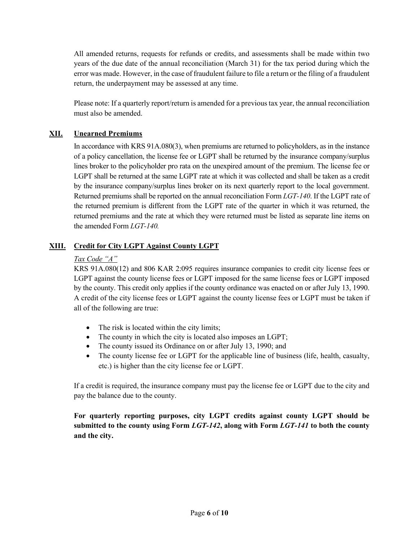All amended returns, requests for refunds or credits, and assessments shall be made within two years of the due date of the annual reconciliation (March 31) for the tax period during which the error was made. However, in the case of fraudulent failure to file a return or the filing of a fraudulent return, the underpayment may be assessed at any time.

Please note: If a quarterly report/return is amended for a previous tax year, the annual reconciliation must also be amended.

# **XII. Unearned Premiums**

In accordance with KRS 91A.080(3), when premiums are returned to policyholders, as in the instance of a policy cancellation, the license fee or LGPT shall be returned by the insurance company/surplus lines broker to the policyholder pro rata on the unexpired amount of the premium. The license fee or LGPT shall be returned at the same LGPT rate at which it was collected and shall be taken as a credit by the insurance company/surplus lines broker on its next quarterly report to the local government. Returned premiums shall be reported on the annual reconciliation Form *LGT-140*. If the LGPT rate of the returned premium is different from the LGPT rate of the quarter in which it was returned, the returned premiums and the rate at which they were returned must be listed as separate line items on the amended Form *LGT-140.*

## **XIII. Credit for City LGPT Against County LGPT**

## *Tax Code "A"*

KRS 91A.080(12) and 806 KAR 2:095 requires insurance companies to credit city license fees or LGPT against the county license fees or LGPT imposed for the same license fees or LGPT imposed by the county. This credit only applies if the county ordinance was enacted on or after July 13, 1990. A credit of the city license fees or LGPT against the county license fees or LGPT must be taken if all of the following are true:

- The risk is located within the city limits;
- The county in which the city is located also imposes an LGPT;
- The county issued its Ordinance on or after July 13, 1990; and
- The county license fee or LGPT for the applicable line of business (life, health, casualty, etc.) is higher than the city license fee or LGPT.

If a credit is required, the insurance company must pay the license fee or LGPT due to the city and pay the balance due to the county.

**For quarterly reporting purposes, city LGPT credits against county LGPT should be submitted to the county using Form** *LGT-142***, along with Form** *LGT-141* **to both the county and the city.**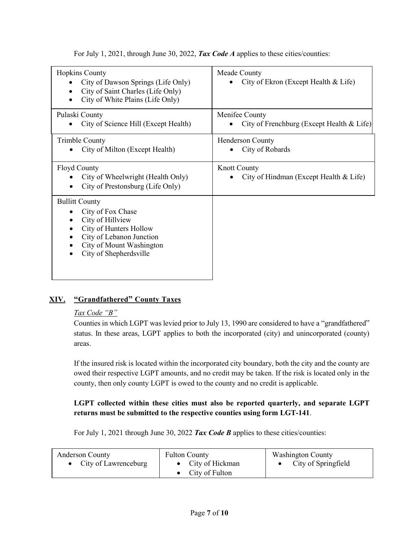For July 1, 2021, through June 30, 2022, *Tax Code A* applies to these cities/counties:

| <b>Hopkins County</b><br>City of Dawson Springs (Life Only)<br>City of Saint Charles (Life Only)<br>City of White Plains (Life Only)                                       | Meade County<br>City of Ekron (Except Health & Life)          |
|----------------------------------------------------------------------------------------------------------------------------------------------------------------------------|---------------------------------------------------------------|
| Pulaski County<br>City of Science Hill (Except Health)                                                                                                                     | Menifee County<br>City of Frenchburg (Except Health & Life)   |
| <b>Trimble County</b><br>City of Milton (Except Health)                                                                                                                    | Henderson County<br>City of Robards                           |
| <b>Floyd County</b><br>City of Wheelwright (Health Only)<br>City of Prestonsburg (Life Only)                                                                               | <b>Knott County</b><br>City of Hindman (Except Health & Life) |
| <b>Bullitt County</b><br>City of Fox Chase<br>City of Hillview<br>City of Hunters Hollow<br>City of Lebanon Junction<br>City of Mount Washington<br>City of Shepherdsville |                                                               |

# **XIV. "Grandfathered" County Taxes**

# *Tax Code "B"*

Counties in which LGPT was levied prior to July 13, 1990 are considered to have a "grandfathered" status. In these areas, LGPT applies to both the incorporated (city) and unincorporated (county) areas.

If the insured risk is located within the incorporated city boundary, both the city and the county are owed their respective LGPT amounts, and no credit may be taken. If the risk is located only in the county, then only county LGPT is owed to the county and no credit is applicable.

# **LGPT collected within these cities must also be reported quarterly, and separate LGPT returns must be submitted to the respective counties using form LGT-141**.

For July 1, 2021 through June 30, 2022 *Tax Code B* applies to these cities/counties:

| <b>Anderson County</b> | <b>Fulton County</b> | <b>Washington County</b> |
|------------------------|----------------------|--------------------------|
| • City of Lawrenceburg | • City of Hickman    | City of Springfield      |
|                        | • City of Fulton     |                          |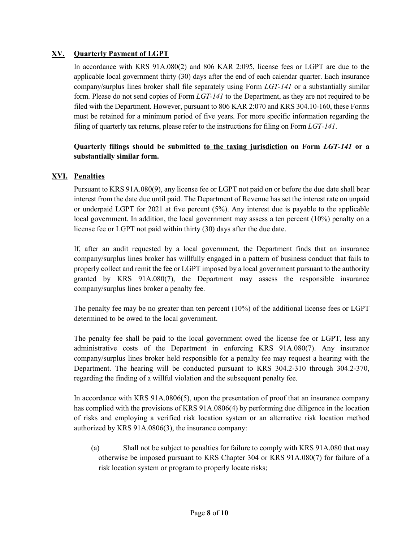## **XV. Quarterly Payment of LGPT**

In accordance with KRS 91A.080(2) and 806 KAR 2:095, license fees or LGPT are due to the applicable local government thirty (30) days after the end of each calendar quarter. Each insurance company/surplus lines broker shall file separately using Form *LGT-141* or a substantially similar form. Please do not send copies of Form *LGT-141* to the Department, as they are not required to be filed with the Department. However, pursuant to 806 KAR 2:070 and KRS 304.10-160, these Forms must be retained for a minimum period of five years. For more specific information regarding the filing of quarterly tax returns, please refer to the instructions for filing on Form *LGT-141*.

# **Quarterly filings should be submitted to the taxing jurisdiction on Form** *LGT-141* **or a substantially similar form.**

# **XVI. Penalties**

Pursuant to KRS 91A.080(9), any license fee or LGPT not paid on or before the due date shall bear interest from the date due until paid. The Department of Revenue has set the interest rate on unpaid or underpaid LGPT for 2021 at five percent  $(5\%)$ . Any interest due is payable to the applicable local government. In addition, the local government may assess a ten percent (10%) penalty on a license fee or LGPT not paid within thirty (30) days after the due date.

If, after an audit requested by a local government, the Department finds that an insurance company/surplus lines broker has willfully engaged in a pattern of business conduct that fails to properly collect and remit the fee or LGPT imposed by a local government pursuant to the authority granted by KRS 91A.080(7), the Department may assess the responsible insurance company/surplus lines broker a penalty fee.

The penalty fee may be no greater than ten percent (10%) of the additional license fees or LGPT determined to be owed to the local government.

The penalty fee shall be paid to the local government owed the license fee or LGPT, less any administrative costs of the Department in enforcing KRS 91A.080(7). Any insurance company/surplus lines broker held responsible for a penalty fee may request a hearing with the Department. The hearing will be conducted pursuant to KRS 304.2-310 through 304.2-370, regarding the finding of a willful violation and the subsequent penalty fee.

In accordance with KRS 91A.0806(5), upon the presentation of proof that an insurance company has complied with the provisions of KRS 91A.0806(4) by performing due diligence in the location of risks and employing a verified risk location system or an alternative risk location method authorized by KRS 91A.0806(3), the insurance company:

(a) Shall not be subject to penalties for failure to comply with KRS 91A.080 that may otherwise be imposed pursuant to KRS Chapter 304 or KRS 91A.080(7) for failure of a risk location system or program to properly locate risks;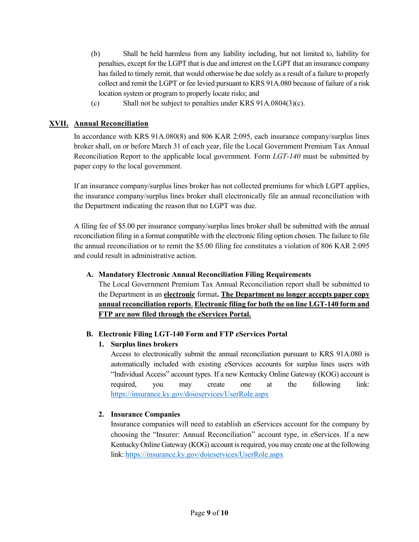- (b) Shall be held harmless from any liability including, but not limited to, liability for penalties, except for the LGPT that is due and interest on the LGPT that an insurance company has failed to timely remit, that would otherwise be due solely as a result of a failure to properly collect and remit the LGPT or fee levied pursuant to KRS 91A.080 because of failure of a risk location system or program to properly locate risks; and
- (c) Shall not be subject to penalties under KRS 91A.0804(3)(c).

# **XVII. Annual Reconciliation**

In accordance with KRS 91A.080(8) and 806 KAR 2:095, each insurance company/surplus lines broker shall, on or before March 31 of each year, file the Local Government Premium Tax Annual Reconciliation Report to the applicable local government. Form *LGT-140* must be submitted by paper copy to the local government.

If an insurance company/surplus lines broker has not collected premiums for which LGPT applies, the insurance company/surplus lines broker shall electronically file an annual reconciliation with the Department indicating the reason that no LGPT was due.

A filing fee of \$5.00 per insurance company/surplus lines broker shall be submitted with the annual reconciliation filing in a format compatible with the electronic filing option chosen. The failure to file the annual reconciliation or to remit the \$5.00 filing fee constitutes a violation of 806 KAR 2:095 and could result in administrative action.

### **A. Mandatory Electronic Annual Reconciliation Filing Requirements**

The Local Government Premium Tax Annual Reconciliation report shall be submitted to the Department in an **electronic** format**. The Department no longer accepts paper copy annual reconciliation reports**. **Electronic filing for both the on line LGT-140 form and FTP are now filed through the eServices Portal.**

## **B. Electronic Filing LGT-140 Form and FTP eServices Portal**

## **1. Surplus lines brokers**

Access to electronically submit the annual reconciliation pursuant to KRS 91A.080 is automatically included with existing eServices accounts for surplus lines users with "Individual Access" account types. If a new Kentucky Online Gateway (KOG) account is required, you may create one at the following link: <https://insurance.ky.gov/doieservices/UserRole.aspx>

## **2. Insurance Companies**

Insurance companies will need to establish an eServices account for the company by choosing the "Insurer: Annual Reconciliation" account type, in eServices. If a new Kentucky Online Gateway (KOG) account is required, you may create one at the following link[: https://insurance.ky.gov/doieservices/UserRole.aspx](https://insurance.ky.gov/doieservices/UserRole.aspx)